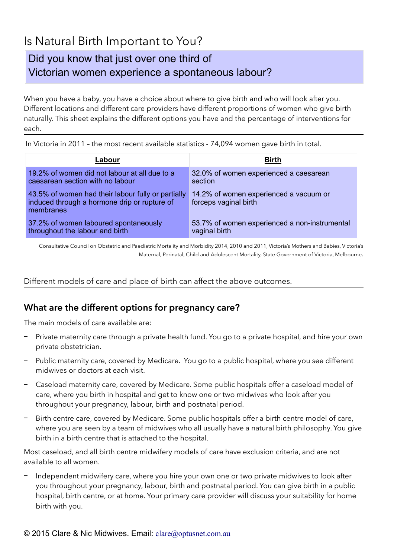# Is Natural Birth Important to You?

## Did you know that just over one third of Victorian women experience a spontaneous labour?

When you have a baby, you have a choice about where to give birth and who will look after you. Different locations and different care providers have different proportions of women who give birth naturally. This sheet explains the different options you have and the percentage of interventions for each.

| Labour                                                                                                          | <b>Birth</b>                                                    |
|-----------------------------------------------------------------------------------------------------------------|-----------------------------------------------------------------|
| 19.2% of women did not labour at all due to a<br>caesarean section with no labour                               | 32.0% of women experienced a caesarean<br>section               |
| 43.5% of women had their labour fully or partially<br>induced through a hormone drip or rupture of<br>membranes | 14.2% of women experienced a vacuum or<br>forceps vaginal birth |
| 37.2% of women laboured spontaneously<br>throughout the labour and birth                                        | 53.7% of women experienced a non-instrumental<br>vaginal birth  |

In Victoria in 2011 – the most recent available statistics - 74,094 women gave birth in total.

Consultative Council on Obstetric and Paediatric Mortality and Morbidity 2014, 2010 and 2011, Victoria's Mothers and Babies, Victoria's Maternal, Perinatal, Child and Adolescent Mortality, State Government of Victoria, Melbourne.

Different models of care and place of birth can affect the above outcomes.

### **What are the different options for pregnancy care?**

The main models of care available are:

- − Private maternity care through a private health fund. You go to a private hospital, and hire your own private obstetrician.
- Public maternity care, covered by Medicare. You go to a public hospital, where you see different midwives or doctors at each visit.
- − Caseload maternity care, covered by Medicare. Some public hospitals offer a caseload model of care, where you birth in hospital and get to know one or two midwives who look after you throughout your pregnancy, labour, birth and postnatal period.
- Birth centre care, covered by Medicare. Some public hospitals offer a birth centre model of care, where you are seen by a team of midwives who all usually have a natural birth philosophy. You give birth in a birth centre that is attached to the hospital.

Most caseload, and all birth centre midwifery models of care have exclusion criteria, and are not available to all women.

Independent midwifery care, where you hire your own one or two private midwives to look after you throughout your pregnancy, labour, birth and postnatal period. You can give birth in a public hospital, birth centre, or at home. Your primary care provider will discuss your suitability for home birth with you.